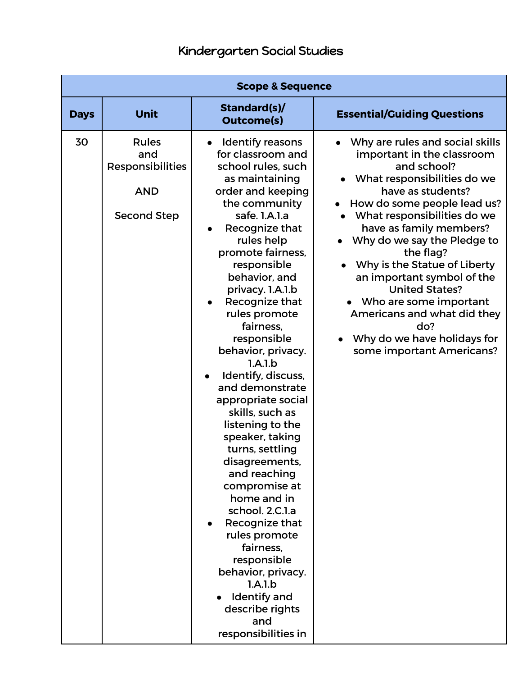| <b>Scope &amp; Sequence</b> |                                                                             |                                                                                                                                                                                                                                                                                                                                                                                                                                                                                                                                                                                                                                                                                                                                                                            |                                                                                                                                                                                                                                                                                                                                                                                                                                                                                            |  |  |
|-----------------------------|-----------------------------------------------------------------------------|----------------------------------------------------------------------------------------------------------------------------------------------------------------------------------------------------------------------------------------------------------------------------------------------------------------------------------------------------------------------------------------------------------------------------------------------------------------------------------------------------------------------------------------------------------------------------------------------------------------------------------------------------------------------------------------------------------------------------------------------------------------------------|--------------------------------------------------------------------------------------------------------------------------------------------------------------------------------------------------------------------------------------------------------------------------------------------------------------------------------------------------------------------------------------------------------------------------------------------------------------------------------------------|--|--|
| <b>Days</b>                 | <b>Unit</b>                                                                 | Standard(s)/<br><b>Outcome(s)</b>                                                                                                                                                                                                                                                                                                                                                                                                                                                                                                                                                                                                                                                                                                                                          | <b>Essential/Guiding Questions</b>                                                                                                                                                                                                                                                                                                                                                                                                                                                         |  |  |
| 30                          | <b>Rules</b><br>and<br>Responsibilities<br><b>AND</b><br><b>Second Step</b> | <b>Identify reasons</b><br>$\bullet$<br>for classroom and<br>school rules, such<br>as maintaining<br>order and keeping<br>the community<br>safe. 1.A.1.a<br>Recognize that<br>rules help<br>promote fairness,<br>responsible<br>behavior, and<br>privacy. 1.A.1.b<br>Recognize that<br>rules promote<br>fairness.<br>responsible<br>behavior, privacy.<br>1.A.1.b<br>Identify, discuss,<br>and demonstrate<br>appropriate social<br>skills, such as<br>listening to the<br>speaker, taking<br>turns, settling<br>disagreements,<br>and reaching<br>compromise at<br>home and in<br>school. 2.C.l.a<br>Recognize that<br>rules promote<br>fairness,<br>responsible<br>behavior, privacy.<br>1.A.1.b<br><b>Identify and</b><br>describe rights<br>and<br>responsibilities in | Why are rules and social skills<br>important in the classroom<br>and school?<br>What responsibilities do we<br>have as students?<br>How do some people lead us?<br>What responsibilities do we<br>have as family members?<br>Why do we say the Pledge to<br>the flag?<br>Why is the Statue of Liberty<br>an important symbol of the<br><b>United States?</b><br>• Who are some important<br>Americans and what did they<br>do?<br>Why do we have holidays for<br>some important Americans? |  |  |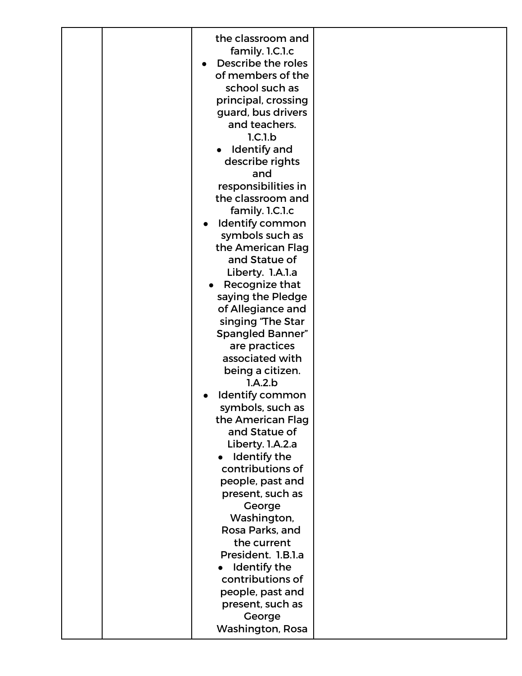| the classroom and<br>family. 1.C.1.c<br>Describe the roles<br>of members of the<br>school such as<br>principal, crossing<br>guard, bus drivers<br>and teachers.<br>1.C.1.b<br>Identify and<br>$\bullet$<br>describe rights<br>and<br>responsibilities in |
|----------------------------------------------------------------------------------------------------------------------------------------------------------------------------------------------------------------------------------------------------------|
|                                                                                                                                                                                                                                                          |
|                                                                                                                                                                                                                                                          |
|                                                                                                                                                                                                                                                          |
|                                                                                                                                                                                                                                                          |
|                                                                                                                                                                                                                                                          |
|                                                                                                                                                                                                                                                          |
|                                                                                                                                                                                                                                                          |
|                                                                                                                                                                                                                                                          |
|                                                                                                                                                                                                                                                          |
|                                                                                                                                                                                                                                                          |
|                                                                                                                                                                                                                                                          |
|                                                                                                                                                                                                                                                          |
|                                                                                                                                                                                                                                                          |
| the classroom and                                                                                                                                                                                                                                        |
| family. 1.C.1.c                                                                                                                                                                                                                                          |
| Identify common                                                                                                                                                                                                                                          |
| symbols such as                                                                                                                                                                                                                                          |
| the American Flag                                                                                                                                                                                                                                        |
| and Statue of                                                                                                                                                                                                                                            |
| Liberty. 1.A.1.a                                                                                                                                                                                                                                         |
| Recognize that                                                                                                                                                                                                                                           |
| saying the Pledge                                                                                                                                                                                                                                        |
| of Allegiance and                                                                                                                                                                                                                                        |
| singing 'The Star                                                                                                                                                                                                                                        |
| <b>Spangled Banner"</b>                                                                                                                                                                                                                                  |
| are practices                                                                                                                                                                                                                                            |
| associated with                                                                                                                                                                                                                                          |
| being a citizen.                                                                                                                                                                                                                                         |
| 1.A.2.b                                                                                                                                                                                                                                                  |
| <b>Identify common</b>                                                                                                                                                                                                                                   |
| symbols, such as                                                                                                                                                                                                                                         |
| the American Flag                                                                                                                                                                                                                                        |
| and Statue of                                                                                                                                                                                                                                            |
| Liberty. 1.A.2.a                                                                                                                                                                                                                                         |
| Identify the                                                                                                                                                                                                                                             |
| contributions of                                                                                                                                                                                                                                         |
| people, past and                                                                                                                                                                                                                                         |
| present, such as                                                                                                                                                                                                                                         |
| George                                                                                                                                                                                                                                                   |
| Washington,                                                                                                                                                                                                                                              |
| Rosa Parks, and                                                                                                                                                                                                                                          |
| the current                                                                                                                                                                                                                                              |
| President. 1.B.1.a                                                                                                                                                                                                                                       |
| Identify the                                                                                                                                                                                                                                             |
| contributions of                                                                                                                                                                                                                                         |
| people, past and                                                                                                                                                                                                                                         |
| present, such as                                                                                                                                                                                                                                         |
| George                                                                                                                                                                                                                                                   |
| Washington, Rosa                                                                                                                                                                                                                                         |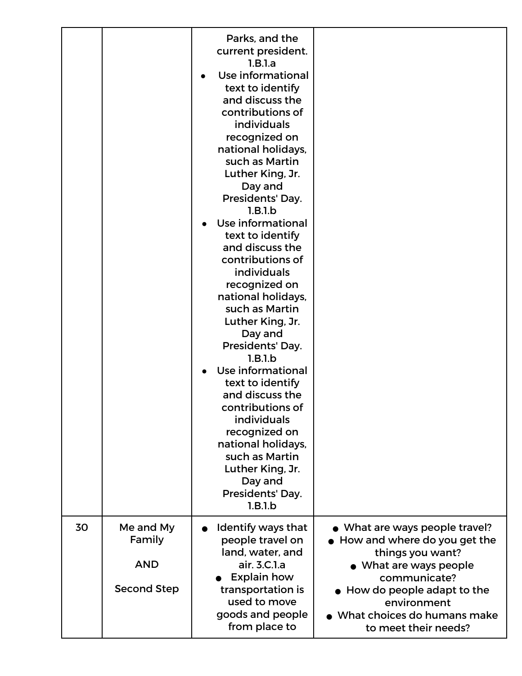|    |                                                         | Parks, and the<br>current president.<br>1.B.1.a<br>Use informational<br>text to identify<br>and discuss the<br>contributions of<br>individuals<br>recognized on<br>national holidays,<br>such as Martin<br>Luther King, Jr.<br>Day and<br>Presidents' Day.<br>1.B.1.b<br>Use informational<br>text to identify<br>and discuss the<br>contributions of<br>individuals<br>recognized on<br>national holidays,<br>such as Martin<br>Luther King, Jr.<br>Day and<br>Presidents' Day.<br>1.B.1.b<br>Use informational<br>text to identify<br>and discuss the<br>contributions of<br>individuals<br>recognized on<br>national holidays,<br>such as Martin<br>Luther King, Jr.<br>Day and<br>Presidents' Day.<br>1.B.1.b |                                                                                                                                                                                                                                        |
|----|---------------------------------------------------------|-------------------------------------------------------------------------------------------------------------------------------------------------------------------------------------------------------------------------------------------------------------------------------------------------------------------------------------------------------------------------------------------------------------------------------------------------------------------------------------------------------------------------------------------------------------------------------------------------------------------------------------------------------------------------------------------------------------------|----------------------------------------------------------------------------------------------------------------------------------------------------------------------------------------------------------------------------------------|
| 30 | Me and My<br>Family<br><b>AND</b><br><b>Second Step</b> | Identify ways that<br>people travel on<br>land, water, and<br>air. 3.C.1.a<br><b>Explain how</b><br>transportation is<br>used to move<br>goods and people<br>from place to                                                                                                                                                                                                                                                                                                                                                                                                                                                                                                                                        | • What are ways people travel?<br>• How and where do you get the<br>things you want?<br>• What are ways people<br>communicate?<br>• How do people adapt to the<br>environment<br>• What choices do humans make<br>to meet their needs? |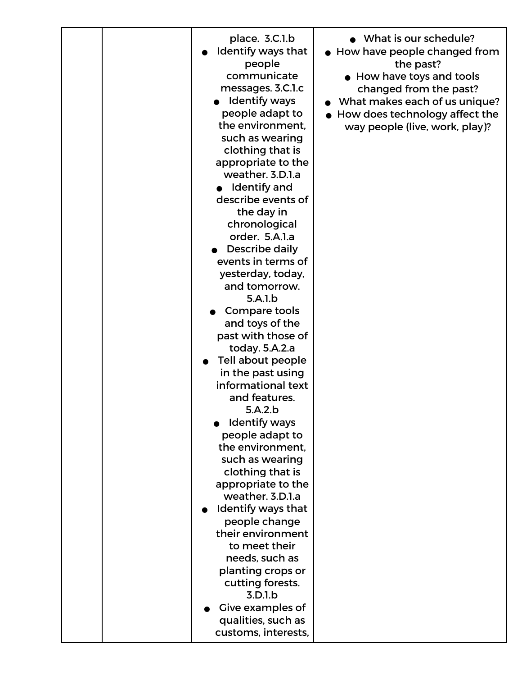|  | place. 3.C.1.b<br>Identify ways that<br>people<br>communicate<br>messages. 3.C.1.c<br><b>Identify ways</b><br>people adapt to<br>the environment,<br>such as wearing<br>clothing that is<br>appropriate to the<br>weather. 3.D.l.a<br>Identify and<br>describe events of<br>the day in<br>chronological<br>order. 5.A.1.a<br>Describe daily<br>events in terms of<br>yesterday, today,<br>and tomorrow.<br>5.A.1.b<br>Compare tools<br>and toys of the<br>past with those of<br>today. 5.A.2.a<br>Tell about people<br>in the past using<br>informational text<br>and features.<br>5.A.2.b<br><b>Identify ways</b><br>people adapt to<br>the environment.<br>such as wearing<br>clothing that is<br>appropriate to the<br>weather. 3.D.l.a<br>Identify ways that<br>people change<br>their environment<br>to meet their<br>needs, such as<br>planting crops or<br>cutting forests.<br>3.D.1.b<br>Give examples of<br>qualities, such as | • What is our schedule?<br>• How have people changed from<br>the past?<br>• How have toys and tools<br>changed from the past?<br>What makes each of us unique?<br>• How does technology affect the<br>way people (live, work, play)? |
|--|-----------------------------------------------------------------------------------------------------------------------------------------------------------------------------------------------------------------------------------------------------------------------------------------------------------------------------------------------------------------------------------------------------------------------------------------------------------------------------------------------------------------------------------------------------------------------------------------------------------------------------------------------------------------------------------------------------------------------------------------------------------------------------------------------------------------------------------------------------------------------------------------------------------------------------------------|--------------------------------------------------------------------------------------------------------------------------------------------------------------------------------------------------------------------------------------|
|  | customs, interests,                                                                                                                                                                                                                                                                                                                                                                                                                                                                                                                                                                                                                                                                                                                                                                                                                                                                                                                     |                                                                                                                                                                                                                                      |